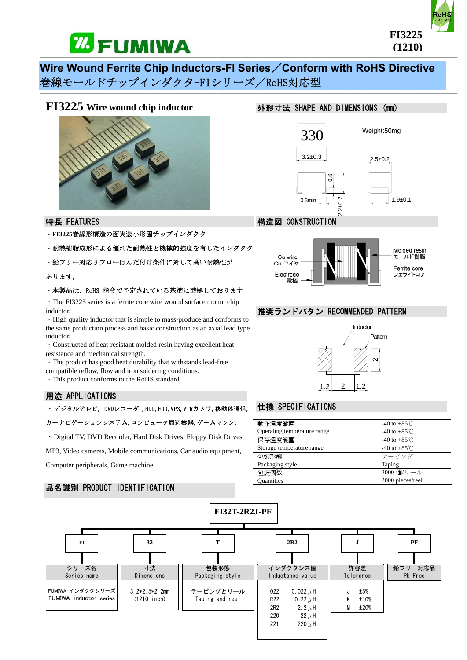

# **Wire Wound Ferrite Chip Inductors-FI Series**/**Conform with RoHS Directive**  巻線モールドチップインダクタ-FIシリーズ/RoHS対応型

# **FI3225 Wire wound chip inductor**



# 特長 FEATURES

- .**FI3225**巻線形構造の面実装小形固チップインダクタ
- .耐熱樹脂成形による優れた耐熱性と機械的強度を有したインダクタ
- · 鉛フリー対応リフローはんだ付け条件に対して高い耐熱性が

#### あります。

#### .本製品は、RoHS 指令で予定されている基準に準拠しております

.The FI3225 series is a ferrite core wire wound surface mount chip inductor.

.High quality inductor that is simple to mass-produce and conforms to the same production process and basic construction as an axial lead type inductor.

- .Constructed of heat-resistant molded resin having excellent heat resistance and mechanical strength.
- .The product has good heat durability that withstands lead-free

compatible reflow, flow and iron soldering conditions.

.This product conforms to the RoHS standard.

#### 用途 APPLICATIONS

.デジタルテレビ, DVDレコーダ ,HDD,FDD,MP3,VTRカメラ,移動体通信,

カーナビゲーションシステム,コンピュータ周辺機器,ゲームマシン.

.Digital TV, DVD Recorder, Hard Disk Drives, Floppy Disk Drives,

MP3, Video cameras, Mobile communications, Car audio equipment,

Computer peripherals, Game machine.

### 品名識別 PRODUCT IDENTIFICATION

## 外形寸法 SHAPE AND DIMENSIONS (mm)







Ferrite core フェライトコア

#### 推奨ランドパタン RECOMMENDED PATTERN



# 仕様 SPECIFICATIONS

Cu ワイヤ

Electrode

雷極

| 動作溫度範圍                      | -40 to +85 $\degree$ C |
|-----------------------------|------------------------|
| Operating temperature range | -40 to +85 $°C$        |
| 保存溫度範圍                      | -40 to +85 $°C$        |
| Storage temperature range   | -40 to $+85^{\circ}$ C |
| 句裝形態                        | テーピング                  |
| Packaging style             | Taping                 |
| 句裝個数                        | 2000 個/リール             |
| <b>Quantities</b>           | 2000 pieces/reel       |

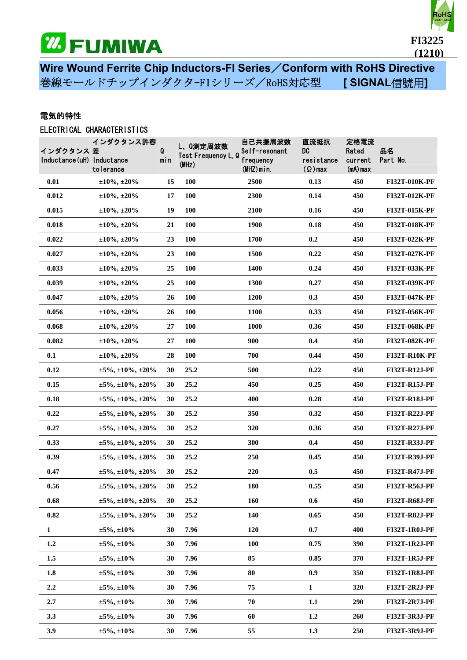



**Wire Wound Ferrite Chip Inductors-FI Series**/**Conform with RoHS Directive**  巻線モールドチップインダクタ-FIシリーズ/RoHS対応型 **[ SIGNAL**信號用**]**

───────────────────────────────────────────────────────────────────────

# 電気的特性

# ELECTRICAL CHARACTERISTICS

| インダクタンス 差<br>Inductance (uH) Inductance | インダクタンス許容<br>tolerance              | Q<br>min | (MHz)      | 自己共振周波数<br>L、Q測定周波数<br>Self-resonant<br>Test Frequency L, Q<br>frequency<br>$(MHZ)$ min. | 直流抵抗<br>DC<br>resistance<br>$(Q)$ max | 定格電流<br>Rated<br>current<br>$(mA)$ max | 品名<br>Part No.       |
|-----------------------------------------|-------------------------------------|----------|------------|------------------------------------------------------------------------------------------|---------------------------------------|----------------------------------------|----------------------|
| 0.01                                    | $\pm 10\%, \pm 20\%$                | 15       | <b>100</b> | 2500                                                                                     | 0.13                                  | 450                                    | FI32T-010K-PF        |
| 0.012                                   | $\pm 10\%$ , $\pm 20\%$             | 17       | 100        | 2300                                                                                     | 0.14                                  | 450                                    | FI32T-012K-PF        |
| 0.015                                   | $\pm 10\%$ , $\pm 20\%$             | 19       | 100        | 2100                                                                                     | 0.16                                  | 450                                    | FI32T-015K-PF        |
| 0.018                                   | $\pm 10\%, \pm 20\%$                | 21       | 100        | 1900                                                                                     | 0.18                                  | 450                                    | FI32T-018K-PF        |
| 0.022                                   | $\pm 10\%$ , $\pm 20\%$             | 23       | <b>100</b> | 1700                                                                                     | 0.2                                   | 450                                    | FI32T-022K-PF        |
| 0.027                                   | $\pm 10\%$ , $\pm 20\%$             | 23       | <b>100</b> | 1500                                                                                     | 0.22                                  | 450                                    | FI32T-027K-PF        |
| 0.033                                   | $\pm 10\%$ , $\pm 20\%$             | 25       | <b>100</b> | 1400                                                                                     | 0.24                                  | 450                                    | <b>FI32T-033K-PF</b> |
| 0.039                                   | $\pm 10\%, \pm 20\%$                | 25       | <b>100</b> | 1300                                                                                     | 0.27                                  | 450                                    | FI32T-039K-PF        |
| 0.047                                   | $\pm 10\%$ , $\pm 20\%$             | 26       | 100        | 1200                                                                                     | 0.3                                   | 450                                    | <b>FI32T-047K-PF</b> |
| 0.056                                   | $\pm 10\%, \pm 20\%$                | 26       | 100        | 1100                                                                                     | 0.33                                  | 450                                    | <b>FI32T-056K-PF</b> |
| 0.068                                   | $\pm 10\%$ , $\pm 20\%$             | 27       | 100        | 1000                                                                                     | 0.36                                  | 450                                    | FI32T-068K-PF        |
| 0.082                                   | $\pm 10\%$ , $\pm 20\%$             | 27       | 100        | 900                                                                                      | 0.4                                   | 450                                    | FI32T-082K-PF        |
| 0.1                                     | $\pm 10\%$ , $\pm 20\%$             | 28       | <b>100</b> | 700                                                                                      | 0.44                                  | 450                                    | <b>FI32T-R10K-PF</b> |
| 0.12                                    | $\pm 5\%, \pm 10\%, \pm 20\%$       | 30       | 25.2       | 500                                                                                      | 0.22                                  | 450                                    | <b>FI32T-R12J-PF</b> |
| 0.15                                    | $\pm 5\%, \pm 10\%, \pm 20\%$       | 30       | 25.2       | 450                                                                                      | 0.25                                  | 450                                    | <b>FI32T-R15J-PF</b> |
| 0.18                                    | $\pm 5\%, \pm 10\%, \pm 20\%$       | 30       | 25.2       | 400                                                                                      | 0.28                                  | 450                                    | <b>FI32T-R18J-PF</b> |
| 0.22                                    | $\pm 5\%, \pm 10\%, \pm 20\%$       | 30       | 25.2       | 350                                                                                      | 0.32                                  | 450                                    | <b>FI32T-R22J-PF</b> |
| 0.27                                    | $\pm 5\%, \pm 10\%, \pm 20\%$       | 30       | 25.2       | 320                                                                                      | 0.36                                  | 450                                    | <b>FI32T-R27J-PF</b> |
| 0.33                                    | $\pm 5\%, \pm 10\%, \pm 20\%$       | 30       | 25.2       | 300                                                                                      | 0.4                                   | 450                                    | <b>FI32T-R33J-PF</b> |
| 0.39                                    | $\pm 5\%$ , $\pm 10\%$ , $\pm 20\%$ | 30       | 25.2       | 250                                                                                      | 0.45                                  | 450                                    | <b>FI32T-R39J-PF</b> |
| 0.47                                    | $\pm 5\%, \pm 10\%, \pm 20\%$       | 30       | 25.2       | 220                                                                                      | 0.5                                   | 450                                    | <b>FI32T-R47J-PF</b> |
| 0.56                                    | $\pm 5\%, \pm 10\%, \pm 20\%$       | 30       | 25.2       | 180                                                                                      | 0.55                                  | 450                                    | <b>FI32T-R56J-PF</b> |
| 0.68                                    | $\pm 5\%, \pm 10\%, \pm 20\%$       | 30       | 25.2       | 160                                                                                      | 0.6                                   | 450                                    | <b>FI32T-R68J-PF</b> |
| 0.82                                    | $\pm 5\%, \pm 10\%, \pm 20\%$       | 30       | 25.2       | 140                                                                                      | 0.65                                  | 450                                    | <b>FI32T-R82J-PF</b> |
| $\mathbf{1}$                            | $\pm 5\%, \pm 10\%$                 | 30       | 7.96       | 120                                                                                      | 0.7                                   | 400                                    | <b>FI32T-1R0J-PF</b> |
| 1.2                                     | $\pm 5\%, \pm 10\%$                 | 30       | 7.96       | 100                                                                                      | 0.75                                  | 390                                    | <b>FI32T-1R2J-PF</b> |
| 1.5                                     | $\pm 5\%, \pm 10\%$                 | 30       | 7.96       | 85                                                                                       | 0.85                                  | 370                                    | <b>FI32T-1R5J-PF</b> |
| 1.8                                     | $\pm 5\%, \pm 10\%$                 | 30       | 7.96       | 80                                                                                       | 0.9                                   | 350                                    | <b>FI32T-1R8J-PF</b> |
| $2.2\,$                                 | $\pm 5\%, \pm 10\%$                 | 30       | 7.96       | 75                                                                                       | $\mathbf{1}$                          | 320                                    | <b>FI32T-2R2J-PF</b> |
| 2.7                                     | $\pm 5\%, \pm 10\%$                 | 30       | 7.96       | 70                                                                                       | $1.1\,$                               | 290                                    | <b>FI32T-2R7J-PF</b> |
| 3.3                                     | $\pm 5\%, \pm 10\%$                 | 30       | 7.96       | 60                                                                                       | 1.2                                   | 260                                    | <b>FI32T-3R3J-PF</b> |
| 3.9                                     | $\pm 5\%, \pm 10\%$                 | 30       | 7.96       | 55                                                                                       | 1.3                                   | 250                                    | <b>FI32T-3R9J-PF</b> |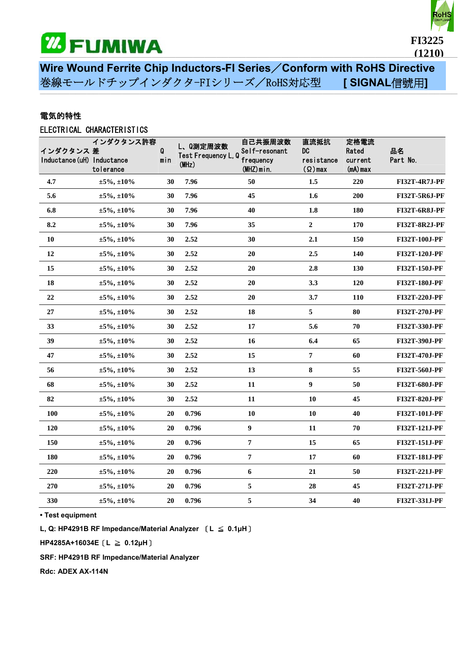



**Wire Wound Ferrite Chip Inductors-FI Series**/**Conform with RoHS Directive**  巻線モールドチップインダクタ-FIシリーズ/RoHS対応型 **[ SIGNAL**信號用**]**

───────────────────────────────────────────────────────────────────────

# 電気的特性

# ELECTRICAL CHARACTERISTICS

| インダクタンス 差<br>Inductance (uH) Inductance | インダクタンス許容<br>tolerance | Q<br>min | L、Q測定周波数<br>Test Frequency L, Q<br>(MHz) | 自己共振周波数<br>Self-resonant<br>frequency<br>$(MHZ)$ min. | 直流抵抗<br>DC<br>resistance<br>$(\Omega)$ max | 定格電流<br>Rated<br>current<br>$(mA)$ max | 品名<br>Part No.       |
|-----------------------------------------|------------------------|----------|------------------------------------------|-------------------------------------------------------|--------------------------------------------|----------------------------------------|----------------------|
| 4.7                                     | $\pm 5\%, \pm 10\%$    | 30       | 7.96                                     | 50                                                    | 1.5                                        | 220                                    | <b>FI32T-4R7J-PF</b> |
| 5.6                                     | $\pm 5\%, \pm 10\%$    | 30       | 7.96                                     | 45                                                    | 1.6                                        | 200                                    | <b>FI32T-5R6J-PF</b> |
| 6.8                                     | $\pm 5\%, \pm 10\%$    | 30       | 7.96                                     | 40                                                    | 1.8                                        | <b>180</b>                             | <b>FI32T-6R8J-PF</b> |
| 8.2                                     | $\pm 5\%, \pm 10\%$    | 30       | 7.96                                     | 35                                                    | $\boldsymbol{2}$                           | 170                                    | <b>FI32T-8R2J-PF</b> |
| 10                                      | $\pm 5\%, \pm 10\%$    | 30       | 2.52                                     | 30                                                    | 2.1                                        | <b>150</b>                             | FI32T-100J-PF        |
| 12                                      | $\pm 5\%, \pm 10\%$    | 30       | 2.52                                     | 20                                                    | 2.5                                        | 140                                    | FI32T-120J-PF        |
| 15                                      | $\pm 5\%, \pm 10\%$    | 30       | 2.52                                     | 20                                                    | 2.8                                        | 130                                    | FI32T-150J-PF        |
| 18                                      | $\pm 5\%, \pm 10\%$    | 30       | 2.52                                     | 20                                                    | 3.3                                        | 120                                    | FI32T-180J-PF        |
| $22\,$                                  | $\pm 5\%, \pm 10\%$    | 30       | 2.52                                     | 20                                                    | 3.7                                        | 110                                    | FI32T-220J-PF        |
| $\bf 27$                                | $\pm 5\%, \pm 10\%$    | 30       | 2.52                                     | 18                                                    | 5                                          | 80                                     | FI32T-270J-PF        |
| 33                                      | $\pm 5\%, \pm 10\%$    | 30       | 2.52                                     | $17\,$                                                | 5.6                                        | 70                                     | FI32T-330J-PF        |
| 39                                      | $\pm 5\%, \pm 10\%$    | 30       | 2.52                                     | 16                                                    | 6.4                                        | 65                                     | FI32T-390J-PF        |
| 47                                      | $\pm 5\%, \pm 10\%$    | 30       | 2.52                                     | 15                                                    | 7                                          | 60                                     | FI32T-470J-PF        |
| 56                                      | $\pm 5\%, \pm 10\%$    | 30       | 2.52                                     | 13                                                    | 8                                          | 55                                     | FI32T-560J-PF        |
| 68                                      | $\pm 5\%, \pm 10\%$    | 30       | 2.52                                     | 11                                                    | 9                                          | 50                                     | FI32T-680J-PF        |
| 82                                      | $\pm 5\%, \pm 10\%$    | 30       | 2.52                                     | 11                                                    | 10                                         | 45                                     | FI32T-820J-PF        |
| 100                                     | $\pm 5\%, \pm 10\%$    | 20       | 0.796                                    | 10                                                    | 10                                         | 40                                     | FI32T-101J-PF        |
| 120                                     | $\pm 5\%, \pm 10\%$    | 20       | 0.796                                    | 9                                                     | 11                                         | 70                                     | FI32T-121J-PF        |
| 150                                     | $\pm 5\%, \pm 10\%$    | 20       | 0.796                                    | $\pmb{7}$                                             | 15                                         | 65                                     | FI32T-151J-PF        |
| 180                                     | $\pm 5\%, \pm 10\%$    | 20       | 0.796                                    | $\pmb{7}$                                             | $17\,$                                     | 60                                     | FI32T-181J-PF        |
| 220                                     | $\pm 5\%, \pm 10\%$    | 20       | 0.796                                    | 6                                                     | 21                                         | 50                                     | FI32T-221J-PF        |
| 270                                     | $\pm 5\%, \pm 10\%$    | 20       | 0.796                                    | 5                                                     | 28                                         | 45                                     | FI32T-271J-PF        |
| 330                                     | $\pm 5\%, \pm 10\%$    | 20       | 0.796                                    | 5                                                     | 34                                         | 40                                     | FI32T-331J-PF        |

**• Test equipment** 

**L, Q: HP4291B RF Impedance/Material Analyzer** [**L** ≦ **0.1μH**]

**HP4285A+16034E**[**L** ≧ **0.12μH**]

**SRF: HP4291B RF Impedance/Material Analyzer** 

**Rdc: ADEX AX-114N**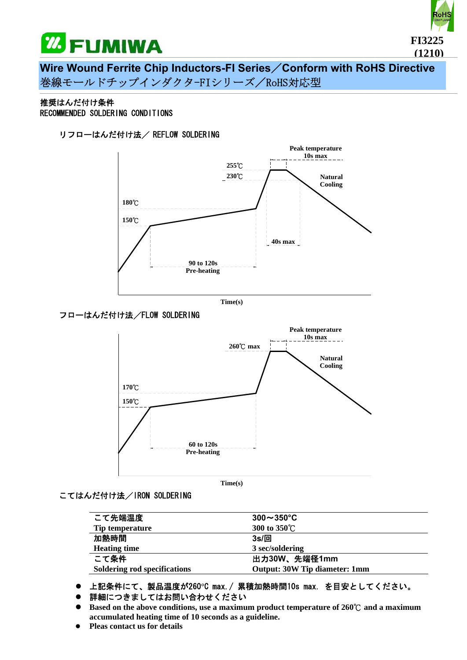



**Wire Wound Ferrite Chip Inductors-FI Series**/**Conform with RoHS Directive**  巻線モールドチップインダクタ-FIシリーズ/RoHS対応型

───────────────────────────────────────────────────────────────────────

#### 推奨はんだ付け条件 RECOMMENDED SOLDERING CONDITIONS

# リフローはんだ付け法/ REFLOW SOLDERING



**Time(s)**

## フローはんだ付け法/FLOW SOLDERING



#### こてはんだ付け法/IRON SOLDERING

| こて先端温度                       | $300\sim350^{\circ}$ C               |
|------------------------------|--------------------------------------|
| <b>Tip temperature</b>       | 300 to 350°C                         |
| 加熱時間                         | $3s/\Box$                            |
| <b>Heating time</b>          | 3 sec/soldering                      |
| こて条件                         | 出力30W、先端径1mm                         |
| Soldering rod specifications | <b>Output: 30W Tip diameter: 1mm</b> |

- z 上記条件にて、製品温度が260**°**C max./ 累積加熱時間10s max. を目安としてください。
- 詳細につきましてはお問い合わせください
- Based on the above conditions, use a maximum product temperature of 260°C and a maximum **accumulated heating time of 10 seconds as a guideline.**
- **Pleas contact us for details**